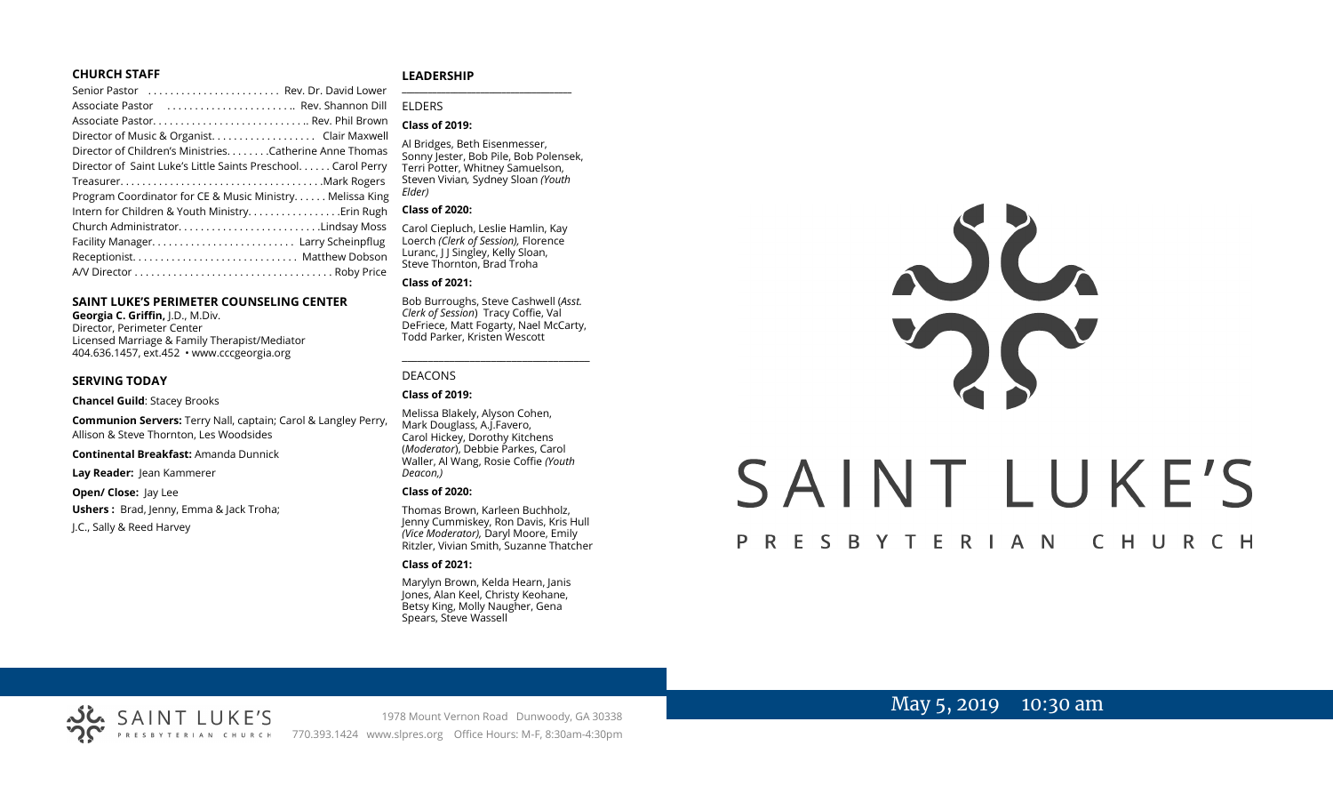#### **CHURCH STAFF**

#### Senior Pastor . . . . . . . . . . . . . . . . . . . . . . . . Rev. Dr. David Lower Associate Pastor . . . . . . . . . . . . . . . . . . . . . . .. Rev. Shannon Dill Associate Pastor. . . . . . . . . . . . . . . . . . . . . . . . . . . .. Rev. Phil Brown Director of Music & Organist. . . . . . . . . . . . . . . . . . . Clair Maxwell Director of Children's Ministries. . . . . . . .Catherine Anne Thomas Director of Saint Luke's Little Saints Preschool. . . . . . Carol Perry Treasurer. . . . . . . . . . . . . . . . . . . . . . . . . . . . . . . . . . . . .Mark Rogers Program Coordinator for CE & Music Ministry. . . . . . Melissa King Intern for Children & Youth Ministry. . . . . . . . . . . . . . . . .Erin Rugh Church Administrator. . . . . . . . . . . . . . . . . . . . . . . . . .Lindsay Moss Facility Manager. . . . . . . . . . . . . . . . . . . . . . . . . . Larry Scheinpflug Receptionist. . . . . . . . . . . . . . . . . . . . . . . . . . . . . . Matthew Dobson A/V Director . . . . . . . . . . . . . . . . . . . . . . . . . . . . . . . . . . . . Roby Price

#### **SAINT LUKE'S PERIMETER COUNSELING CENTER**

**Georgia C. Griffin,** J.D., M.Div. Director, Perimeter Center Licensed Marriage & Family Therapist/Mediator 404.636.1457, ext.452 • www.cccgeorgia.org

#### **SERVING TODAY**

**Chancel Guild**: Stacey Brooks

**Communion Servers:** Terry Nall, captain; Carol & Langley Perry, Allison & Steve Thornton, Les Woodsides

**Continental Breakfast:** Amanda Dunnick

**Lay Reader:** Jean Kammerer

**Open/ Close:** Jay Lee **Ushers :** Brad, Jenny, Emma & Jack Troha; J.C., Sally & Reed Harvey

SAINT LUKE'S

#### **LEADERSHIP** **\_\_\_\_\_\_\_\_\_\_\_\_\_\_\_\_\_\_\_\_\_\_\_\_\_\_\_\_\_\_\_\_\_\_\_\_\_\_\_**

ELDERS

#### **Class of 2019:**

Al Bridges, Beth Eisenmesser, Sonny Jester, Bob Pile, Bob Polensek, Terri Potter, Whitney Samuelson, Steven Vivian*,* Sydney Sloan *(Youth Elder)*

#### **Class of 2020:**

Carol Ciepluch, Leslie Hamlin, Kay Loerch *(Clerk of Session),* Florence Luranc, J J Singley, Kelly Sloan, Steve Thornton, Brad Troha

#### **Class of 2021:**

Bob Burroughs, Steve Cashwell (*Asst. Clerk of Session*) Tracy Coffie, Val DeFriece, Matt Fogarty, Nael McCarty, Todd Parker, Kristen Wescott

\_\_\_\_\_\_\_\_\_\_\_\_\_\_\_\_\_\_\_\_\_\_\_\_\_\_\_\_\_\_\_\_\_\_\_\_

#### DEACONS

**Class of 2019:**

Melissa Blakely, Alyson Cohen, Mark Douglass, A.J.Favero, Carol Hickey, Dorothy Kitchens (*Moderator*), Debbie Parkes, Carol Waller, Al Wang, Rosie Coffie *(Youth Deacon,)* 

#### **Class of 2020:**

Thomas Brown, Karleen Buchholz, Jenny Cummiskey, Ron Davis, Kris Hull *(Vice Moderator),* Daryl Moore, Emily Ritzler, Vivian Smith, Suzanne Thatcher

#### **Class of 2021:**

Marylyn Brown, Kelda Hearn, Janis Jones, Alan Keel, Christy Keohane, Betsy King, Molly Naugher, Gena Spears, Steve Wassell



# May 5, 2019 10:30 am

1978 Mount Vernon Road Dunwoody, GA 30338 770.393.1424 www.slpres.org Office Hours: M-F, 8:30am-4:30pm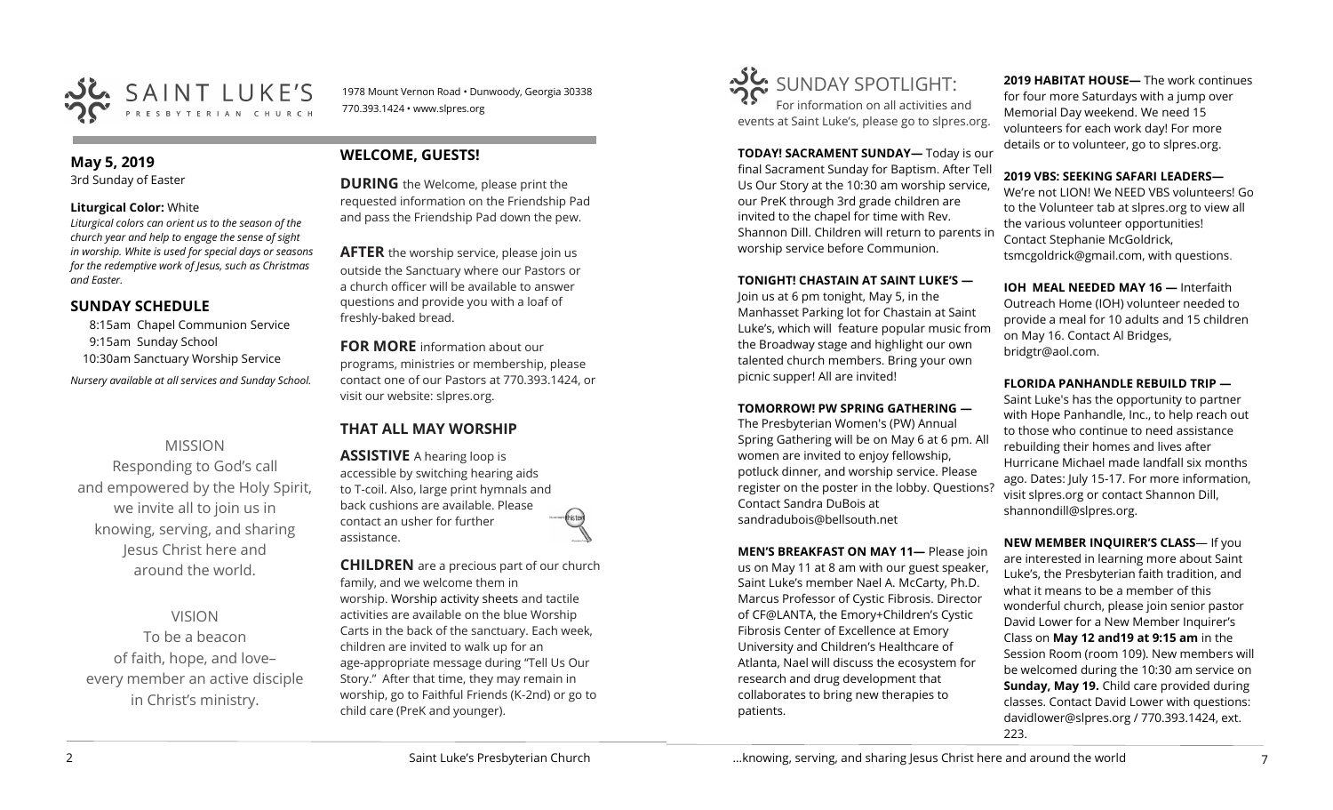

1978 Mount Vernon Road • Dunwoody, Georgia 30338 770.393.1424 • www.slpres.org

#### **May 5, 2019**  3rd Sunday of Easter

#### **Liturgical Color:** White

*Liturgical colors can orient us to the season of the church year and help to engage the sense of sight in worship. White is used for special days or seasons for the redemptive work of Jesus, such as Christmas and Easter.*

### **SUNDAY SCHEDULE**

8:15am Chapel Communion Service 9:15am Sunday School 10:30am Sanctuary Worship Service *Nursery available at all services and Sunday School.* 

## MISSION

Responding to God's call and empowered by the Holy Spirit, we invite all to join us in knowing, serving, and sharing Jesus Christ here and around the world.

## VISION

To be a beacon of faith, hope, and love– every member an active disciple in Christ's ministry.

## **WELCOME, GUESTS!**

**DURING** the Welcome, please print the requested information on the Friendship Pad and pass the Friendship Pad down the pew.

**AFTER** the worship service, please join us outside the Sanctuary where our Pastors or a church officer will be available to answer questions and provide you with a loaf of freshly-baked bread.

**FOR MORE** information about our programs, ministries or membership, please contact one of our Pastors at 770.393.1424, or visit our website: slpres.org.

## **THAT ALL MAY WORSHIP**

**ASSISTIVE** A hearing loop is accessible by switching hearing aids to T-coil. Also, large print hymnals and back cushions are available. Please contact an usher for further assistance.

**CHILDREN** are a precious part of our church family, and we welcome them in worship. Worship activity sheets and tactile activities are available on the blue Worship Carts in the back of the sanctuary. Each week, children are invited to walk up for an age-appropriate message during "Tell Us Our Story." After that time, they may remain in worship, go to Faithful Friends (K-2nd) or go to child care (PreK and younger).



**TODAY! SACRAMENT SUNDAY—** Today is our final Sacrament Sunday for Baptism. After Tell Us Our Story at the 10:30 am worship service, our PreK through 3rd grade children are invited to the chapel for time with Rev. Shannon Dill. Children will return to parents in worship service before Communion.

#### **TONIGHT! CHASTAIN AT SAINT LUKE'S —**

Join us at 6 pm tonight, May 5, in the Manhasset Parking lot for Chastain at Saint Luke's, which will feature popular music from the Broadway stage and highlight our own talented church members. Bring your own picnic supper! All are invited!

#### **TOMORROW! PW SPRING GATHERING —**

The Presbyterian Women's (PW) Annual Spring Gathering will be on May 6 at 6 pm. All women are invited to enjoy fellowship, potluck dinner, and worship service. Please register on the poster in the lobby. Questions? Contact Sandra DuBois at [sandradubois@bellsouth.net](mailto:sandradubois@bellsouth.net)

**MEN'S BREAKFAST ON MAY 11—** Please join us on May 11 at 8 am with our guest speaker, Saint Luke's member Nael A. McCarty, Ph.D. Marcus Professor of Cystic Fibrosis. Director of CF@LANTA, the Emory+Children's Cystic Fibrosis Center of Excellence at Emory University and Children's Healthcare of Atlanta, Nael will discuss the ecosystem for research and drug development that collaborates to bring new therapies to patients.

**2019 HABITAT HOUSE—** The work continues for four more Saturdays with a jump over Memorial Day weekend. We need 15 volunteers for each work day! For more details or to volunteer, go to slpres.org.

#### **2019 VBS: SEEKING SAFARI LEADERS—**

We're not LION! We NEED VBS volunteers! Go to the Volunteer tab at slpres.org to view all the various volunteer opportunities! Contact Stephanie McGoldrick, tsmcgoldrick@gmail.com, with questions.

**IOH MEAL NEEDED MAY 16 —** Interfaith Outreach Home (IOH) volunteer needed to provide a meal for 10 adults and 15 children on May 16. Contact Al Bridges, bridgtr@aol.com.

#### **FLORIDA PANHANDLE REBUILD TRIP —**

Saint Luke's has the opportunity to partner with Hope Panhandle, Inc., to help reach out to those who continue to need assistance rebuilding their homes and lives after Hurricane Michael made landfall six months ago. Dates: July 15-17. For more information, visit slpres.org or contact Shannon Dill, shannondill@slpres.org.

**NEW MEMBER INQUIRER'S CLASS**— If you are interested in learning more about Saint Luke's, the Presbyterian faith tradition, and what it means to be a member of this wonderful church, please join senior pastor David Lower for a New Member Inquirer's Class on **May 12 and19 at 9:15 am** in the Session Room (room 109). New members will be welcomed during the 10:30 am service on **Sunday, May 19.** Child care provided during classes. Contact David Lower with questions: davidlower@slpres.org / 770.393.1424, ext. 223.

...knowing, serving, and sharing Jesus Christ here and around the world  $\frac{7}{7}$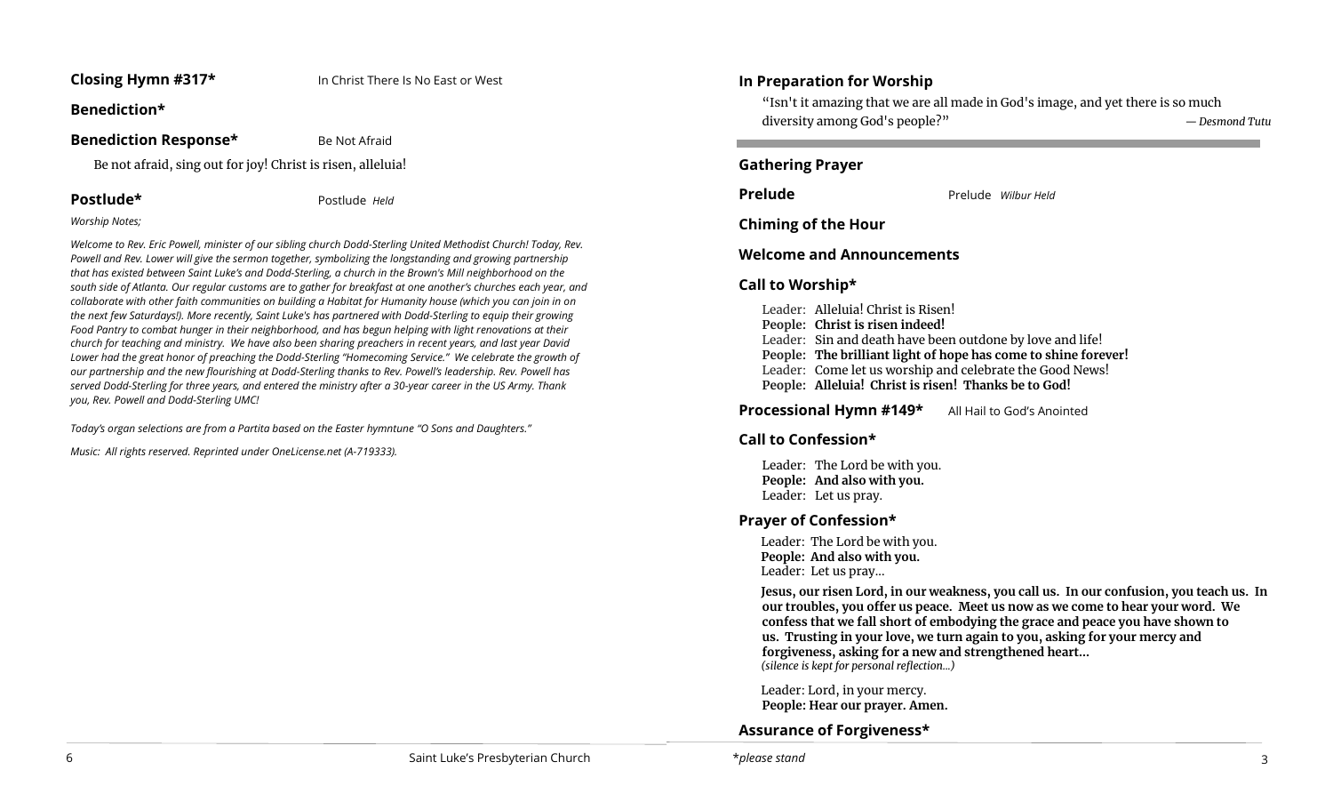### **Closing Hymn #317\*** In Christ There Is No East or West

## **Benediction\***

## **Benediction Response\*** Be Not Afraid

Be not afraid, sing out for joy! Christ is risen, alleluia!

**Postlude\*** Postlude *Held*

#### *Worship Notes;*

*Welcome to Rev. Eric Powell, minister of our sibling church Dodd-Sterling United Methodist Church! Today, Rev. Powell and Rev. Lower will give the sermon together, symbolizing the longstanding and growing partnership that has existed between Saint Luke's and Dodd-Sterling, a church in the Brown's Mill neighborhood on the south side of Atlanta. Our regular customs are to gather for breakfast at one another's churches each year, and collaborate with other faith communities on building a Habitat for Humanity house (which you can join in on the next few Saturdays!). More recently, Saint Luke's has partnered with Dodd-Sterling to equip their growing Food Pantry to combat hunger in their neighborhood, and has begun helping with light renovations at their church for teaching and ministry. We have also been sharing preachers in recent years, and last year David Lower had the great honor of preaching the Dodd-Sterling "Homecoming Service." We celebrate the growth of our partnership and the new flourishing at Dodd-Sterling thanks to Rev. Powell's leadership. Rev. Powell has served Dodd-Sterling for three years, and entered the ministry after a 30-year career in the US Army. Thank you, Rev. Powell and Dodd-Sterling UMC!*

*Today's organ selections are from a Partita based on the Easter hymntune "O Sons and Daughters."*

*Music: All rights reserved. Reprinted under OneLicense.net (A-719333).* 

## **In Preparation for Worship**

"Isn't it amazing that we are all made in God's image, and yet there is so much diversity among God's people?" *— Desmond Tutu*

### **Gathering Prayer**

**Prelude** Prelude *Wilbur Held* 

**Chiming of the Hour**

**Welcome and Announcements** 

## **Call to Worship\***

Leader: Alleluia! Christ is Risen! **People: Christ is risen indeed!** Leader: Sin and death have been outdone by love and life! **People: The brilliant light of hope has come to shine forever!** Leader: Come let us worship and celebrate the Good News! **People: Alleluia! Christ is risen! Thanks be to God!**

**Processional Hymn #149\*** All Hail to God's Anointed

## **Call to Confession\***

Leader: The Lord be with you. **People: And also with you.**  Leader: Let us pray.

## **Prayer of Confession\***

Leader: The Lord be with you. **People: And also with you.** Leader: Let us pray...

**Jesus, our risen Lord, in our weakness, you call us. In our confusion, you teach us. In our troubles, you offer us peace. Meet us now as we come to hear your word. We confess that we fall short of embodying the grace and peace you have shown to us. Trusting in your love, we turn again to you, asking for your mercy and forgiveness, asking for a new and strengthened heart...** *(silence is kept for personal reflection...)*

Leader: Lord, in your mercy. **People: Hear our prayer. Amen.**

## **Assurance of Forgiveness\***